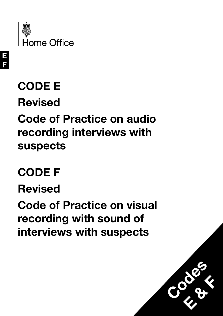

# **CODE E**

**Revised Code of Practice on audio recording interviews with suspects** 

# **CODE F**

**Revised** 

**Code of Practice on visual recording with sound of interviews with suspects** 

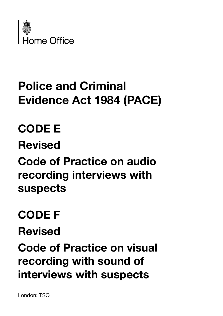

# **Police and Criminal Evidence Act 1984 (PACE)**

# **CODE E**

**Revised** 

**Code of Practice on audio recording interviews with suspects** 

# **CODE F**

**Revised** 

**Code of Practice on visual recording with sound of interviews with suspects**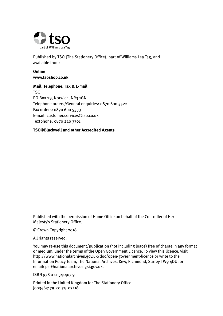

Published by TSO (The Stationery Office), part of Williams Lea Tag, and available from:

**Online <www.tsoshop.co.uk>**

#### **Mail, Telephone, Fax & E-mail**

TSO PO Box 29, Norwich, NR3 1GN Telephone orders/General enquiries: 0870 600 5522 Fax orders: 0870 600 5533 E-mail: [customer.services@tso.co.uk](mailto:customer.services@tso.co.uk)  Textphone: 0870 240 3701

**TSO@Blackwell and other Accredited Agents** 

Published with the permission of Home Office on behalf of the Controller of Her Majesty's Stationery Office.

© Crown Copyright 2018

All rights reserved.

You may re-use this document/publication (not including logos) free of charge in any format or medium, under the terms of the Open Government Licence. To view this licence, visit <http://www.nationalarchives.gov.uk/doc/open-government-licence> or write to the Information Policy Team, The National Archives, Kew, Richmond, Surrey TW9 4DU; or email: psi@nationalarchives.gsi.gov.uk.

ISBN 978 0 11 341407 9

 J003463179 c0.75 07/18 Printed in the United Kingdom for The Stationery Office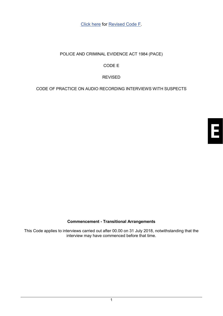[Click here](#page-22-0) for [Revised Code F](#page-22-0).

<span id="page-3-0"></span>POLICE AND CRIMINAL EVIDENCE ACT 1984 (PACE)

CODE E

REVISED

CODE OF PRACTICE ON AUDIO RECORDING INTERVIEWS WITH SUSPECTS

# **Commencement - Transitional Arrangements**

This Code applies to interviews carried out after 00.00 on 31 July 2018, notwithstanding that the interview may have commenced before that time.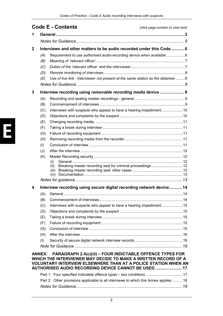|                                                                                                                                                                                                                                                                                |     | <b>Code E - Contents</b><br>(click page number to view text)                     |  |  |  |  |
|--------------------------------------------------------------------------------------------------------------------------------------------------------------------------------------------------------------------------------------------------------------------------------|-----|----------------------------------------------------------------------------------|--|--|--|--|
| 1                                                                                                                                                                                                                                                                              |     |                                                                                  |  |  |  |  |
|                                                                                                                                                                                                                                                                                |     |                                                                                  |  |  |  |  |
| 2                                                                                                                                                                                                                                                                              |     | Interviews and other matters to be audio recorded under this Code6               |  |  |  |  |
|                                                                                                                                                                                                                                                                                | (A) | Requirement to use authorised audio-recording device when available. 6           |  |  |  |  |
|                                                                                                                                                                                                                                                                                | (B) |                                                                                  |  |  |  |  |
|                                                                                                                                                                                                                                                                                | (C) |                                                                                  |  |  |  |  |
|                                                                                                                                                                                                                                                                                | (D) |                                                                                  |  |  |  |  |
|                                                                                                                                                                                                                                                                                | (E) | Use of live link - Interviewer not present at the same station as the detainee 8 |  |  |  |  |
|                                                                                                                                                                                                                                                                                |     |                                                                                  |  |  |  |  |
| 3                                                                                                                                                                                                                                                                              |     | Interview recording using removable recording media device 9                     |  |  |  |  |
|                                                                                                                                                                                                                                                                                | (A) |                                                                                  |  |  |  |  |
|                                                                                                                                                                                                                                                                                | (B) |                                                                                  |  |  |  |  |
|                                                                                                                                                                                                                                                                                | (C) |                                                                                  |  |  |  |  |
|                                                                                                                                                                                                                                                                                | (D) |                                                                                  |  |  |  |  |
|                                                                                                                                                                                                                                                                                | (E) |                                                                                  |  |  |  |  |
|                                                                                                                                                                                                                                                                                | (F) |                                                                                  |  |  |  |  |
|                                                                                                                                                                                                                                                                                | (G) |                                                                                  |  |  |  |  |
|                                                                                                                                                                                                                                                                                | (H) |                                                                                  |  |  |  |  |
|                                                                                                                                                                                                                                                                                | (1) |                                                                                  |  |  |  |  |
|                                                                                                                                                                                                                                                                                | (J) |                                                                                  |  |  |  |  |
|                                                                                                                                                                                                                                                                                | (K) |                                                                                  |  |  |  |  |
|                                                                                                                                                                                                                                                                                |     | (i)<br>(ii)                                                                      |  |  |  |  |
|                                                                                                                                                                                                                                                                                |     |                                                                                  |  |  |  |  |
|                                                                                                                                                                                                                                                                                |     |                                                                                  |  |  |  |  |
|                                                                                                                                                                                                                                                                                |     |                                                                                  |  |  |  |  |
| 4                                                                                                                                                                                                                                                                              |     | Interview recording using secure digital recording network device 14             |  |  |  |  |
|                                                                                                                                                                                                                                                                                | (A) |                                                                                  |  |  |  |  |
|                                                                                                                                                                                                                                                                                | (B) |                                                                                  |  |  |  |  |
|                                                                                                                                                                                                                                                                                | (C) | Interviews with suspects who appear to have a hearing impediment 15              |  |  |  |  |
|                                                                                                                                                                                                                                                                                | (D) |                                                                                  |  |  |  |  |
|                                                                                                                                                                                                                                                                                | (E) |                                                                                  |  |  |  |  |
|                                                                                                                                                                                                                                                                                | (F) |                                                                                  |  |  |  |  |
|                                                                                                                                                                                                                                                                                | (G) |                                                                                  |  |  |  |  |
|                                                                                                                                                                                                                                                                                | (H) |                                                                                  |  |  |  |  |
|                                                                                                                                                                                                                                                                                | (1) |                                                                                  |  |  |  |  |
|                                                                                                                                                                                                                                                                                |     |                                                                                  |  |  |  |  |
| PARAGRAPH 2.4(c)(iii) - FOUR INDICTABLE OFFENCE TYPES FOR<br><b>ANNEX:</b><br>WHICH THE INTERVIEWER MAY DECIDE TO MAKE A WRITTEN RECORD OF A<br><b>VOLUNTARY INTERVIEW ELSEWHERE THAN AT A POLICE STATION WHEN AN</b><br>AUTHORISED AUDIO RECORDING DEVICE CANNOT BE USED.  17 |     |                                                                                  |  |  |  |  |

| Part 1: Four specified indictable offence types – two conditions 17                 |  |  |  |  |
|-------------------------------------------------------------------------------------|--|--|--|--|
| Part 2: Other provisions applicable to all interviews to which this Annex applies18 |  |  |  |  |
|                                                                                     |  |  |  |  |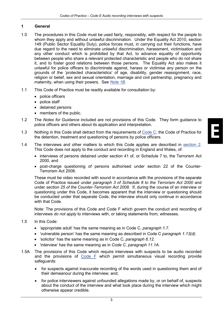### <span id="page-5-0"></span>**1 General**

- 1.0 The procedures in this Code must be used fairly, responsibly, with respect for the people to whom they apply and without unlawful discrimination. Under the Equality Act 2010, section 149 (Public Sector Equality Duty), police forces must, in carrying out their functions, have any other conduct which is prohibited by that Act, to advance equality of opportunity between people who share a relevant protected characteristic and people who do not share due regard to the need to eliminate unlawful discrimination, harassment, victimisation and it, and to foster good relations between those persons. The Equality Act *also* makes it unlawful for police officers to discriminate against, harass or victimise any person on the grounds of the 'protected characteristics' of age, disability, gender reassignment, race, religion or belief, sex and sexual orientation, marriage and civil partnership, pregnancy and maternity, when using their powers. See *[Note 1B](#page-7-0).*
- 1.1 This Code of Practice must be readily available for consultation by:
	- police officers
	- police staff
	- detained persons
	- members of the public.
- 1.2 The *Notes for Guidance* included are not provisions of this Code. They form guidance to police officers and others about its application and interpretation.
- 1.3 Nothing in this Code shall detract from the requirements of <u>Code C</u>, the Code of Practice for the detention, treatment and questioning of persons by police officers.
- This Code does not apply to the conduct and recording in England and Wales, of: 1.4 The interviews and other matters to which this Code applies are described in [section 2](#page-8-0).
	- • interviews of persons detained under section 41 of, or Schedule 7 to, the Terrorism Act 2000, and
	- post-charge questioning of persons authorised under section 22 of the Counter-Terrorism Act 2008.

 Code of Practice issued under *paragraph 3 of Schedule 8 to the Terrorism Act 2000* and  under *section 25 of the Counter-Terrorism Act 2008*. If, during the course of an interview or These must be video recorded with sound in accordance with the provisions of the separate questioning under this Code, it becomes apparent that the interview or questioning should be conducted under that separate Code, the interview should only continue in accordance with that Code.

Note: The provisions of this Code and Code F which govern the conduct and recording of interviews *do not apply* to interviews with, or taking statements from, witnesses.

- 1.5 In this Code:
	- 'appropriate adult' has the same meaning as in Code C, *paragraph 1.7*.
	- *'*vulnerable person' has the same meaning as described in Code C *paragraph 1.13(d).*
	- 'solicitor' has the same meaning as in Code C, *paragraph 6.12.*
	- 'interview' has the same meaning as in *Code C, paragraph 11.1A.*
- and the provisions of  $\overline{Code}$  F which permit simultaneous visual recording provide 1.5A The provisions of this Code which require interviews with suspects to be audio recorded safeguards:
	- for suspects against inaccurate recording of the words used in questioning them and of their demeanour during the interview; and;
	- about the conduct of the interview and what took place during the interview which might • for police interviewers against unfounded allegations made by, or on behalf of, suspects otherwise appear credible.

**E**

3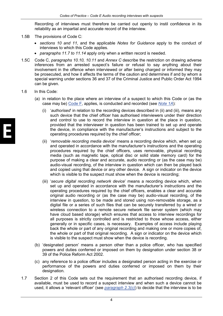<span id="page-6-0"></span> reliability as an impartial and accurate record of the interview. 1.5B The provisions of Code C: Recording of interviews must therefore be carried out openly to instil confidence in its

- 1.5B The provisions of Code C:
	- • *sections 10 and 11*, and the applicable *Notes for Guidance* apply to the conduct of interviews to which this Code applies.
	- *paragraphs 11.7 to 11.14* apply only when a written record is needed.
- 1.5C Code C, *paragraphs 10.10, 10.11* and *Annex C* describe the restriction on drawing adverse inferences from an arrested suspect's failure or refusal to say anything about their involvement in the offence when interviewed or after being charged or informed they may be prosecuted, and how it affects the terms of the caution and determines if and by whom a special warning under sections 36 and 37 of the Criminal Justice and Public Order Act 1994 can be given.
- 1.6 In this Code:
	- (a) in relation to the place where an interview of a suspect to which this Code or (as the case may be) [Code F,](#page-22-0) applies, is conducted and recorded (see *[Note 1A](#page-7-0)*):
		- (i) '*authorised*' in relation to the recording devices described in (ii) and (iii), means any such device that the chief officer has authorised interviewers under their direction and control to use to record the interview in question at the place in question, provided that the interviewer in question has been trained to set up and operate the device, in compliance with the manufacturer's instructions and subject to the operating procedures required by the chief officer;
		- media (such as magnetic tape, optical disc or solid state memory card) for the purpose of making a clear and accurate, audio recording or (as the case may be) and copied using that device or any other device. A sign or indicator on the device (ii) '*removable recording media device*' means a recording device which, when set up and operated in accordance with the manufacturer's instructions and the operating procedures required by the chief officers, uses removable, physical recording audio-visual recording, of the interview in question which can then be played back which is visible to the suspect must show when the device is recording;
		- operating procedures required by the chief officers, enables a clear and accurate interview in question, to be made and stored using non-removable storage, as a digital file or a series of such files that can be securely transferred by a wired or have cloud based storage) which ensures that access to interview recordings for generally or in specific cases, is necessary. Examples of access include playing back the whole or part of any original recording and making one or more copies of, the whole or part of that original recording. A sign or indicator on the device which (iii) '*secure digital recording network device*' means a recording device which, when set up and operated in accordance with the manufacturer's instructions and the original audio recording or (as the case may be) audio-visual recording, of the wireless connection to a remote secure network file server system (which may all purposes is strictly controlled and is restricted to those whose access, either is visible to the suspect must show when the device is recording.
	- powers and duties conferred or imposed on them by designation under section 38 or (b) 'designated person' means a person other than a police officer, who has specified 39 of the Police Reform Act 2002.
	- (c) any reference to a police officer includes a designated person acting in the exercise or performance of the powers and duties conferred or imposed on them by their designation
- available, must be used to record a suspect interview and when such a device cannot be used, it allows a 'relevant officer' (see *[paragraph 2.3\(c\)](#page-8-0)*) to decide that the interview is to be 1.7 Section 2 of this Code sets out the requirement that an authorised recording device, if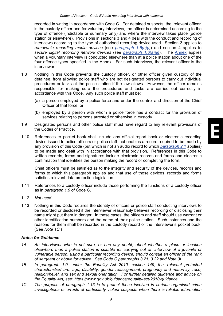<span id="page-7-0"></span> recorded in writing in accordance with Code C. For detained suspects, the 'relevant officer' is the custody officer and for voluntary interviews, the officer is determined according to the station or elsewhere). Provisions in sections 3 and 4 deal with the conduct and recording of *secure digital recording network devices* (see *[paragraph 1.6\(a\)\(ii\)](#page-6-0)*). The [Annex](#page-19-0) applies when a voluntary interview is conducted elsewhere than at a police station about one of the four offence types specified in the Annex. For such interviews, the relevant officer is the interviewer type of offence (indictable or summary only) and where the interview takes place (police interviews according to the type of authorised recording device used. Section 3 applies to *removable recording media devices* (see *[paragraph 1.6\(a\)\(i\)](#page-6-0)*) and section 4 applies to

- 1.8 Nothing in this Code prevents the custody officer, or other officer given custody of the detainee, from allowing police staff who are not designated persons to carry out individual procedures or tasks at the police station if the law allows. However, the officer remains responsible for making sure the procedures and tasks are carried out correctly in accordance with this Code. Any such police staff must be:
	- (a) a person employed by a police force and under the control and direction of the Chief Officer of that force; or
	- (b) employed by a person with whom a police force has a contract for the provision of services relating to persons arrested or otherwise in custody.
- 1.9 Designated persons and other police staff must have regard to any relevant provisions of the Codes of Practice.
- 1.10 References to pocket book shall include any official report book or electronic recording device issued to police officers or police staff that enables a record required to be made by any provision of this Code (but which is not an audio record to which *[paragraph 2.1](#page-8-0)* applies) to be made and dealt with in accordance with that provision. References in this Code to written records, forms and signatures include electronic records and forms and electronic confirmation that identifies the person making the record or completing the form.

Chief officers must be satisfied as to the integrity and security of the devices, records and forms to which this paragraph applies and that use of those devices, records and forms satisfies relevant data protection legislation.

- as in *paragraph 1.9* of Code C. 1.11 References to a custody officer include those performing the functions of a custody officer
- 1.12 *Not used*.
- be recorded or disclosed if the interviewer reasonably believes recording or disclosing their name might put them in danger. In these cases, the officers and staff should use warrant or reasons for them shall be recorded in the custody record or the interviewer's pocket book. 1.13 Nothing in this Code requires the identity of officers or police staff conducting interviews to other identification numbers and the name of their police station. Such instances and the (See *Note 1C.*)

### *Notes for Guidance*

- *1A An interviewer who is not sure, or has any doubt, about whether a place or location elsewhere than a police station is suitable for carrying out an interview of a juvenile or of sergeant or above for advice. See Code C paragraphs 3.21, 3.22 and Note 3I vulnerable person, using a particular recording device, should consult an officer of the rank*
- *1B In paragraph 1.0, under the Equality Act 2010, section 149, the 'relevant protected characteristics' are: age, disability, gender reassignment, pregnancy and maternity, race, religion/belief, and sex and sexual orientation. For further detailed guidance and advice on the Equality Act, see: <https://www.gov.uk/guidance/equality-act-2010-guidance>.*
- *1C The purpose of paragraph 1.13 is to protect those involved in serious organised crime investigations or arrests of particularly violent suspects when there is reliable information*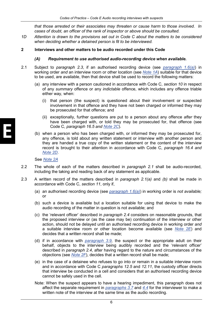*that those arrested or their associates may threaten or cause harm to those involved. In cases of doubt, an officer of the rank of inspector or above should be consulted.* 

- <span id="page-8-0"></span>*1D Attention is drawn to the provisions set out in Code C about the matters to be considered when deciding whether a detained person is fit to be interviewed.*
- **2 Interviews and other matters to be audio recorded under this Code**

#### *(A) Requirement to use authorised audio-recording device when available.*

- 2.1 Subject to *paragraph 2.3*, if an authorised recording device (see *[paragraph 1.6\(a\)](#page-6-0)*) in working order *and* an interview room or other location (see *[Note 1A](#page-7-0)*) suitable for that device to be used, are available, then that device shall be used to record the following matters:
	- (a) any interview with a person cautioned in accordance with Code C, *section 10* in respect of any *summary* offence or any *indictable* offence, which includes any offence triable either way, when:
		- involvement in that offence and they have not been charged or informed they may be prosecuted for that offence; and (i) that person (the suspect) is questioned about their involvement or suspected
		- have been charged with, or told they may be prosecuted for, that offence (see (ii) exceptionally, further questions are put to a person about any offence *after* they Code C, *paragraph 16.5 and [Note 2C](#page-11-0)*).
	- any offence, is told about any written statement or interview with another person and (b) when a person who has been charged with, or informed they may be prosecuted for, they are handed a true copy of the written statement or the content of the interview record is brought to their attention in accordance with Code C, *paragraph 16.4 and [Note 2D](#page-11-0)*.

See *[Note 2A](#page-10-0)* 

- 2.2 The whole of each of the matters described in *paragraph 2.1* shall be audio-recorded, including the taking and reading back of any statement as applicable.
- 2.3 A written record of the matters described in *paragraph 2.1(a)* and *(b)* shall be made in accordance with Code C, *section 11*, only if,
	- (a) an authorised recording device (see *[paragraph 1.6\(a\)](#page-6-0)*) in working order is *not available;*  or
	- (b) such a device is available but a location suitable for using that device to make the audio recording of the matter in question is not available; and
	- the proposed interview or (as the case may be) continuation of the interview or other action, should not be delayed until an authorised recording device in working order *and*  (c) the 'relevant officer' described in *paragraph 2.4* considers on reasonable grounds, that a suitable interview room or other location become available (see *[Note 2E](#page-11-0)*) and decides that a written record shall be made;
	- behalf, objects to the interview being audibly recorded and the 'relevant officer' (d) if in accordance with *[paragraph 3.9](#page-12-0),* the suspect or the appropriate adult on their described in *paragraph 2.4*, after having regard to the nature and circumstances of the objections (see *[Note 2F](#page-11-0)*), decides that a written record shall be made;
	- and in accordance with Code C *paragraphs 12.5* and *12.11*, the custody officer directs that interview be conducted in a cell and considers that an authorised recording device (e) in the case of a detainee who refuses to go into or remain in a suitable interview room cannot be safely used in the cell.
	- Note: When the suspect appears to have a hearing impediment, this paragraph does not affect the separate requirement in *[paragraphs 3.7](#page-12-0)* and *[4.4](#page-17-0)* for the interviewer to make a written note of the interview at the same time as the audio recording.<br> $6$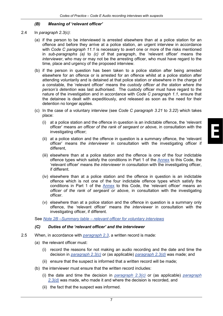#### *(B) Meaning of 'relevant officer'*

- <span id="page-9-0"></span>2.4 In *paragraph 2.3(c)*:
	- with *Code C paragraph 11.1* is necessary to avert one or more of the risks mentioned in *sub-paragraphs (a)* to *(c)* of that paragraph, the 'relevant officer' means the (a) if the person to be interviewed is arrested elsewhere than at a police station for an offence and before they arrive at a police station, an urgent interview in accordance *interviewer*, who may or may not be the arresting officer, who must have regard to the time, place and urgency of the proposed interview.
	- (b) if the person in question has been taken to a police station after being arrested attending voluntarily and is detained at that police station or elsewhere in the charge of *person's detention* was last authorised. The custody officer must have regard to the elsewhere for an offence or is arrested for an offence whilst at a police station after a constable, the 'relevant officer' means the *custody officer at the station where the*  nature of the investigation and in accordance with *Code C paragraph 1.1*, ensure that the detainee is dealt with expeditiously, and released as soon as the need for their detention no longer applies.
	- (c) In the case of a voluntary interview (see *Code C paragraph 3.21* to *3.22*) which takes place:
		- (i) at a police station and the offence in question is an indictable offence, the 'relevant officer' means *an officer of the rank of sergeant or above*, in consultation with the investigating officer;
		- officer' means *the interviewer* in consultation with the investigating officer if (ii) at a police station and the offence in question is a summary offence, the 'relevant different,
		- (iii) elsewhere than at a police station and the offence is one of the four indictable 'relevant officer' means *the interviewer* in consultation with the investigating officer, offence types which satisfy the conditions in Part 1 of the [Annex](#page-19-0) to this Code, the if different.
		- (iv) elsewhere than at a police station and the offence in question is an indictable offence which is not one of the four indictable offence types which satisfy the conditions in Part 1 of the [Annex](#page-19-0) to this Code, the 'relevant officer' means an *officer of the rank of sergeant or above*, in consultation with the investigating officer.
		- (v) elsewhere than at a police station and the offence in question is a summary only offence, the 'relevant officer' means *the interviewer* in consultation with the investigating officer, if different.

See *[Note 2B –Summary table – relevant officer for voluntary interviews](#page-10-0)* 

#### *(C) Duties of the 'relevant officer' and the interviewer*

- $2.5$ 2.5 When, in accordance with *[paragraph 2.3](#page-8-0)*, a written record is made:
	- (a) the relevant officer must:
		- (i) record the reasons for not making an audio recording and the date and time the decision in *[paragraph 2.3\(c\)](#page-8-0)* or (as applicable) *[paragraph 2.3\(d\)](#page-8-0)* was made; and
		- (ii) ensure that the suspect is informed that a written record will be made;
	- (b) the interviewer must ensure that the written record includes:
		- (i) the date and time the decision in *[paragraph 2.3\(c\)](#page-8-0)* or (as applicable) *[paragraph](#page-8-0)  [2.3\(d\)](#page-8-0)* was made, who made it and where the decision is recorded, and
		- (ii) the fact that the suspect was informed.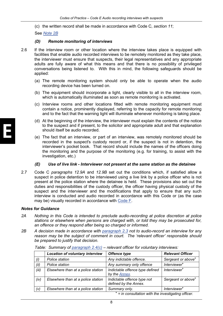<span id="page-10-0"></span>(c) the written record shall be made in accordance with Code C, *section 11*;

See *Note 2B* 

#### *(D) Remote monitoring of interviews*

- 2.6 If the interview room or other location where the interview takes place is equipped with facilities that enable audio recorded interviews to be remotely monitored as they take place, conversations being listened to. With this in mind, the following safeguards should be the interviewer must ensure that suspects, their legal representatives and any appropriate adults are fully aware of what this means and that there is no possibility of privileged applied:
	- (a) The remote monitoring system should only be able to operate when the audio recording device has been turned on.
	- (b) The equipment should incorporate a light, clearly visible to all in the interview room, which is automatically illuminated as soon as remote monitoring is activated.
	- (c) Interview rooms and other locations fitted with remote monitoring equipment must contain a notice, prominently displayed, referring to the capacity for remote monitoring and to the fact that the warning light will illuminate whenever monitoring is taking place.
	- to the suspect and if present, to the solicitor and appropriate adult and that explanation (d) At the beginning of the interview, the interviewer must explain the contents of the notice should itself be audio recorded.
	- (e) The fact that an interview, or part of an interview, was remotely monitored should be recorded in the suspect's custody record or, if the suspect is not in detention, the interviewer's pocket book. That record should include the names of the officers doing the monitoring and the purpose of the monitoring (e.g. for training, to assist with the investigation, etc.)

#### *(E) Use of live link - Interviewer not present at the same station as the detainee*

 present at the police station where the detainee is held. These provisions also set out the duties and responsibilities of the custody officer, the officer having physical custody of the suspect and the interviewer and the modifications that apply to ensure that any such interview is conducted and audio recorded in accordance with this Code or (as the case 2.7 Code C *paragraphs 12.9A* and *12.9B* set out the conditions which, if satisfied allow a suspect in police detention to be interviewed using a live link by a police officer who is not may be) visually recorded in accordance with [Code F](#page-22-0).

#### *Notes for Guidance*

**E**

- *2A Nothing in this Code is intended to preclude audio-recording at police discretion at police stations or elsewhere when persons are charged with, or told they may be prosecuted for, an offence or they respond after being so charged or informed.*
- be prepared to justify that decision. *2B A decision made in accordance with [paragraph 2.3](#page-8-0) not to audio-record an interview for any reason may be the subject of comment in court. The 'relevant officer' responsible should*

|       | <b>Location of voluntary interview</b> | Offence type                                         | <b>Relevant Officer</b>        |
|-------|----------------------------------------|------------------------------------------------------|--------------------------------|
| (i)   | Police station                         | Any indictable offence.                              | Sergeant or above <sup>+</sup> |
| (ii)  | Police station                         | Any summary only offence                             | Interviewer*                   |
| (iii) | Elsewhere than at a police station     | Indictable offence type defined<br>by the Annex.     | Interviewer <sup>+</sup>       |
| (iv)  | Elsewhere than at a police station     | Indictable offence type not<br>defined by the Annex. | Sergeant or above <sup>+</sup> |
| (V)   | Elsewhere than at a police station     | Summary only.<br>.                                   | Interviewer*                   |

*be prepared to justify that decision.*<br>Table: Summary of <u>paragraph 2.4(c)</u> – relevant officer for voluntary interviews:

*<sup>+</sup>= in consultation with the investigating officer.*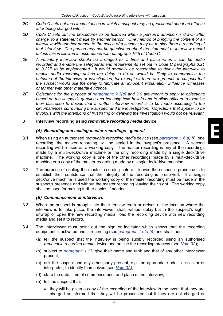- <span id="page-11-0"></span> *2C Code C sets out the circumstances in which a suspect may be questioned about an offence after being charged with it.*
- *charge, to a statement made by another person. One method of bringing the content of an interview with another person to the notice of a suspect may be to play them a recording of that interview. The person may not be questioned about the statement or interview record 2D Code C sets out the procedures to be followed when a person's attention is drawn after unless this is allowed in accordance with paragraph 16.5 of Code C.*
- *2E A voluntary interview should be arranged for a time and place when it can be audio to 3.22B to be implemented. It would normally be reasonable to delay the interview to outcome of the interview or investigation, for example if there are grounds to suspect that recorded and enable the safeguards and requirements set out in Code C paragraphs 3.21 enable audio recording unless the delay to do so would be likely to compromise the the suspect would use the delay to fabricate an innocent explanation, influence witnesses or tamper with other material evidence.*
- *2F Objections for the purpose of [paragraphs 2.3\(d\)](#page-8-0) and [3.9](#page-12-0) are meant to apply to objections their discretion to decide that a written interview record is to be made according to the circumstances surrounding the suspect and the investigation. Objections that appear to be based on the suspect's genuine and honestly held beliefs and to allow officers to exercise frivolous with the intentions of frustrating or delaying the investigation would not be relevant.*

#### **3 Interview recording using** *removable recording media* **device**

## *(A) Recording and sealing master recordings - general*

 recording, the master recording, will be sealed in the suspect's presence. A second recording will be used as a working copy. The master recording is any of the recordings made by a multi-deck/drive machine or the only recording made by a single deck/drive machine. The working copy is one of the other recordings made by a multi-deck/drive 3.1 When using an authorised *removable recording media* device (see *[paragraph 1.6\(a\)\(i\)](#page-6-0)*), one machine or a copy of the master recording made by a single deck/drive machine.

**E**

 establish their confidence that the integrity of the recording is preserved. If a single suspect's presence and without the master recording leaving their sight. The working copy 3.2 The purpose of sealing the master recording before it leaves the suspect's presence is to deck/drive machine is used the working copy of the master recording must be made in the shall be used for making further copies if needed.

#### *(B) Commencement of interviews*

- 3.3 When the suspect is brought into the interview room or arrives at the location where the interview is to take place, the interviewer shall, without delay but in the suspect's sight, unwrap or open the new recording media, load the recording device with new recording media and set it to record.
- 3.4 The interviewer must point out the sign or indicator which shows that the recording equipment is activated and is recording (see *[paragraph 1.6\(a\)\(i\)](#page-6-0)*) and shall then:
	- (a) tell the suspect that the interview is being audibly recorded using an authorised *removable recording media* device and outline the recording process (see *[Note 3A](#page-15-0)*);
	- (b) subject to *[paragraph 1.13](#page-7-0)*, give their name and rank and that of any other interviewer present;
	- (c) ask the suspect and any other party present, e.g. the appropriate adult, a solicitor or interpreter, to identify themselves (see *[Note 3A](#page-15-0)*);
	- (d) state the date, time of commencement and place of the interview;
	- (e) tell the suspect that:
		- they will be given a copy of the recording of the interview in the event that they are charged or informed that they will be prosecuted but if they are not charged or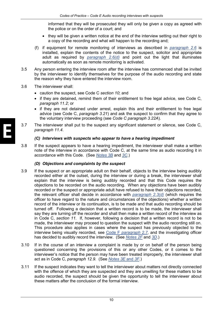<span id="page-12-0"></span>informed that they will be prosecuted they will only be given a copy as agreed with the police or on the order of a court; and

- • they will be given a written notice at the end of the interview setting out their right to a copy of the recording and what will happen to the recording and;
- adult as required by *[paragraph 2.6\(d\)](#page-10-0)* and point out the light that illuminates (f) if equipment for remote monitoring of interviews as described in *[paragraph 2.6](#page-10-0)* is installed, explain the contents of the notice to the suspect, solicitor and appropriate automatically as soon as remote monitoring is activated.
- by the interviewer to identify themselves for the purpose of the audio recording and state 3.5 Any person entering the interview room after the interview has commenced shall be invited the reason why they have entered the interview room.
- 3.6 The interviewer shall:

**E**

- caution the suspect, see Code C *section 10*; and
- if they are detained, remind them of their entitlement to free legal advice, see Code C. *paragraph 11.2*; or
- • if they are not detained under arrest, explain this and their entitlement to free legal advice (see Code C, *paragraph 3.21*) and ask the suspect to confirm that they agree to the voluntary interview proceeding (see *Code C paragraph 3.22A*).
- 3.7 The interviewer shall put to the suspect any significant statement or silence, see Code C, *paragraph 11.4*.

# *(C) Interviews with suspects who appear to have a hearing impediment*

3.8 If the suspect appears to have a hearing impediment, the interviewer shall make a written note of the interview in accordance with Code C, at the same time as audio recording it in accordance with this Code. (See *[Notes 3B](#page-15-0)* and *[3C](#page-15-0)*.)

#### *(D) Objections and complaints by the suspect*

- recorded either at the outset, during the interview or during a break, the interviewer shall record of the interview or its continuation, is to be made and that audio recording should be turned off. Following a decision that a written record is to be made, the interviewer shall in Code C, *section 11*. If, however, following a decision that a written record is not to be made, the interviewer may proceed to question the suspect with the audio recording still on. made, the interviewer may proceed to question the suspect with the audio recording still on.<br>This procedure also applies in cases where the suspect has previously objected to the  interview being visually recorded, see Code F *[paragraph 2.7](#page-26-0)*, and the investigating officer has decided to audibly record the interview. (See *[Notes 2F](#page-11-0)* and *[3D](#page-15-0)*.) 3.9 If the suspect or an appropriate adult on their behalf, objects to the interview being audibly explain that the interview is being audibly recorded and that this Code requires the objections to be recorded on the audio recording. When any objections have been audibly recorded or the suspect or appropriate adult have refused to have their objections recorded, the relevant officer shall decide in accordance with *[paragraph 2.3\(d\)](#page-8-0)* (which requires the officer to have regard to the nature and circumstances of the objections) whether a written say they are turning off the recorder and shall then make a written record of the interview as
- questioned concerning the provisions of this or any other Codes, or it comes to the interviewer's notice that the person may have been treated improperly, the interviewer shall act as in Code C, *paragraph 12.9*. (See *[Notes 3E](#page-15-0)* and *3F*.) 3.10 If in the course of an interview a complaint is made by or on behalf of the person being
- 3.11 If the suspect indicates they want to tell the interviewer about matters not directly connected with the offence of which they are suspected and they are unwilling for these matters to be audio recorded, the suspect should be given the opportunity to tell the interviewer about these matters after the conclusion of the formal interview.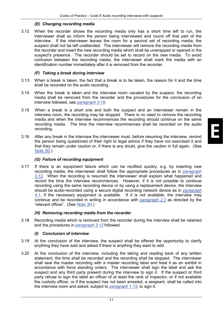### *(E) Changing recording media*

<span id="page-13-0"></span> 3.12 When the recorder shows the recording media only has a short time left to run, the interviewer shall so inform the person being interviewed and round off that part of the interview. If the interviewer leaves the room for a second set of recording media, the identification number immediately after it is removed from the recorder. suspect shall not be left unattended. The interviewer will remove the recording media from the recorder and insert the new recording media which shall be unwrapped or opened in the suspect's presence. The recorder should be set to record on the new media. To avoid confusion between the recording media, the interviewer shall mark the media with an

### *(F) Taking a break during interview*

- 3.13 When a break is taken, the fact that a break is to be taken, the reason for it and the time shall be recorded on the audio recording.
- 3.14 When the break is taken and the interview room vacated by the suspect, the recording media shall be removed from the recorder and the procedures for the conclusion of an interview followed, see *paragraph 3.19*.
- recording media. The time the interview recommences shall be recorded on the audio 3.15 When a break is a short one and both the suspect and an interviewer remain in the interview room, the recording may be stopped. There is no need to remove the recording media and when the interview recommences the recording should continue on the same recording.
- 3.16 After any break in the interview the interviewer must, before resuming the interview, remind the person being questioned of their right to legal advice if they have not exercised it and that they remain under caution or, if there is any doubt, give the caution in full again. (See *[Note 3G](#page-15-0)*.)

#### *(G) Failure of recording equipment*

 record the time the interview recommences. However, if it is not possible to continue *4.1,* [if the necessary equipment is available. If it is not available, the interview may](#page-16-0)  'relevant officer'. (See *[Note 3H](#page-15-0)*.) 3.17 If there is an equipment failure which can be rectified quickly, e.g. by inserting new recording media, the interviewer shall follow the appropriate procedures as in *paragraph 3.12*. When the recording is resumed the interviewer shall explain what happened and recording using the same recording device or by using a replacement device, the interview should be audio-recorded using a secure digital recording network device as in *paragraph*  continue and be recorded in writing in accordance with *[paragraph 2.3](#page-8-0)* as directed by the

# *(H) Removing recording media from the recorder*

 and the procedures in *paragraph 3.12* followed. 3.18 Recording media which is removed from the recorder during the interview shall be retained

#### *(I) Conclusion of interview*

- 3.19 At the conclusion of the interview, the suspect shall be offered the opportunity to clarify anything they have said and asked if there is anything they want to add.
- 3.20 At the conclusion of the interview, including the taking and reading back of any written accordance with force standing orders. The interviewer shall sign the label and ask the suspect and any third party present during the interview to sign it. If the suspect or third the interview room and asked, subject to *[paragraph 1.13](#page-7-0),* to sign it. statement, the time shall be recorded and the recording shall be stopped. The interviewer shall seal the master recording with a master recording label and treat it as an exhibit in party refuse to sign the label an officer of at least the rank of inspector, or if not available the custody officer, or if the suspect has not been arrested, a sergeant, shall be called into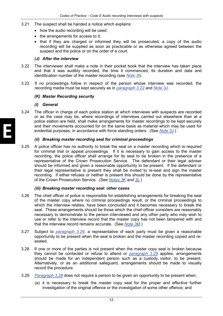- <span id="page-14-0"></span>3.21 The suspect shall be handed a notice which explains:
	- how the audio recording will be used:
	- the arrangements for access to it;
	- • that if they are charged or informed they will be prosecuted, a copy of the audio recording will be supplied as soon as practicable or as otherwise agreed between the suspect and the police or on the order of a court.

#### *(J) After the interview*

- 3.22 The interviewer shall make a note in their pocket book that the interview has taken place and that it was audibly recorded, the time it commenced, its duration and date and identification number of the master recording (see *[Note 3I](#page-16-0)*).
- 3.23 If no proceedings follow in respect of the person whose interview was recorded, the recording media must be kept securely as in *paragraph 3.22* and *[Note 3J](#page-16-0)*.

#### *(K) Master Recording security*

## *(i) General*

**E**

 or as the case may be, where recordings of interviews carried out elsewhere than at a 3.24 The officer in charge of each police station at which interviews with suspects are recorded police station are held, shall make arrangements for master recordings to be kept securely and their movements accounted for on the same basis as material which may be used for evidential purposes, in accordance with force standing orders. (See *[Note 3J](#page-16-0)*.)

#### *(ii) Breaking master recording seal for criminal proceedings*

 for criminal trial or appeal proceedings. If it is necessary to gain access to the master their legal representative is present they shall be invited to re-seal and sign the master 3.25 A police officer has no authority to break the seal on a master recording which is required recording, the police officer shall arrange for its seal to be broken in the presence of a representative of the Crown Prosecution Service. The defendant or their legal adviser should be informed and given a reasonable opportunity to be present. If the defendant or recording. If either refuses or neither is present this should be done by the representative of the Crown Prosecution Service. (See *[Notes 3K](#page-16-0) and [3L](#page-16-0)*.)

#### *(iii) Breaking master recording seal: other cases*

- 3.26 The chief officer of police is responsible for establishing arrangements for breaking the seal which the interview relates, have been concluded and it becomes necessary to break the seal. These arrangements should be those which the chief officer considers are reasonably necessary to demonstrate to the person interviewed and any other party who may wish to that the interview record remains accurate. (See *[Note 3M](#page-16-0)*.) of the master copy where no criminal proceedings result, or the criminal proceedings to use or refer to the interview record that the master copy has not been tampered with and
- 3.27 Subject to *paragraph 3.29*, a representative of each party must be given a reasonable opportunity to be present when the seal is broken and the master recording copied and resealed.
- should be made for an independent person such as a custody visitor, to be present. Alternatively, or as an additional safeguard, arrangements should be made to visually 3.28 If one or more of the parties is not present when the master copy seal is broken because they cannot be contacted or refuse to attend or *paragraph 3.29* applies, arrangements record the procedure.
- 3.29 *Paragraph 3.28* does not require a person to be given an opportunity to be present when;
	- (a) it is necessary to break the master copy seal for the proper and effective further investigation of the original offence or the investigation of some other offence; and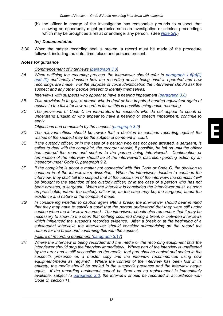<span id="page-15-0"></span> (b) the officer in charge of the investigation has reasonable grounds to suspect that allowing an opportunity might prejudice such an investigation or criminal proceedings which may be brought as a result or endanger any person. (See *[Note 3N](#page-16-0)*.)

#### *(iv) Documentation*

3.30 When the master recording seal is broken, a record must be made of the procedure followed, including the date, time, place and persons present.

## *Notes for guidance*

### *Commencement of interviews ([paragraph 3.3](#page-11-0))*

 *recordings are made. For the purpose of voice identification the interviewer should ask the 3A [When outlining the recording process, the interviewer should refer to paragraph 1.6\(a\)\(ii\)](#page-6-0)  and (iii) and briefly describe how the recording device being used is operated and how suspect and any other people present to identify themselves.* 

 *Interviews with suspects who appear to have a hearing impediment ([paragraph 3.8\)](#page-12-0)* 

- *access to the full interview record as far as this is possible using audio recording. 3B This provision is to give a person who is deaf or has impaired hearing equivalent rights of*
- *3C The provisions of Code C on interpreters for suspects who do not appear to speak or understand English or who appear to have a hearing or speech impediment, continue to apply.*

*Objections and complaints by the suspect ([paragraph 3.9\)](#page-12-0)* 

- *3D The relevant officer should be aware that a decision to continue recording against the wishes of the suspect may be the subject of comment in court.*
- *termination of the interview should be at the interviewer's discretion pending action by an 3E If the custody officer, or in the case of a person who has not been arrested, a sergeant, is called to deal with the complaint, the recorder should, if possible, be left on until the officer has entered the room and spoken to the person being interviewed. Continuation or inspector under Code C, paragraph 9.2.*
- *continue is at the interviewer's discretion. When the interviewer decides to continue the interview, they shall tell the suspect that at the conclusion of the interview, the complaint will be brought to the attention of the custody officer, or in the case of a person who has not been arrested, a sergeant. When the interview is concluded the interviewer must, as soon as practicable, inform the custody officer or, as the case may be, the sergeant, about the 3F If the complaint is about a matter not connected with this Code or Code C, the decision to existence and nature of the complaint made.*
- *3G In considering whether to caution again after a break, the interviewer should bear in mind caution when the interview resumed. The interviewer should also remember that it may be which influenced the suspect's recorded evidence. After a break or at the beginning of a reason for the break and confirming this with the suspect. that they may have to satisfy a court that the person understood that they were still under necessary to show to the court that nothing occurred during a break or between interviews subsequent interview, the interviewer should consider summarising on the record the*

*Failure of recording equipment ([paragraph 3.17](#page-13-0))* 

 *3H Where the interview is being recorded and the media or the recording equipment fails the suspect's presence as a master copy and the interview recommenced using new equipment/media as required. Where the content of the interview has been lost in its interviewer should stop the interview immediately. Where part of the interview is unaffected by the error and is still accessible on the media, that part shall be copied and sealed in the entirety, the media should be sealed in the suspect's presence and the interview begun again. If the recording equipment cannot be fixed and no replacement is immediately available, subject to [paragraph 2.3,](#page-8-0) the interview should be recorded in accordance with Code C, section 11.*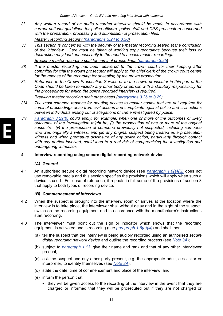<span id="page-16-0"></span>*3I Any written record of an audio recorded interview should be made in accordance with current national guidelines for police officers, police staff and CPS prosecutors concerned with the preparation, processing and submission of prosecution files.* 

 *Master Recording security ([paragraphs 3.24 to 3.30\)](#page-14-0)* 

 *3J This section is concerned with the security of the master recording sealed at the conclusion of the interview. Care must be taken of working copy recordings because their loss or destruction may lead unnecessarily to the need to access master recordings.* 

*Breaking master recording seal for criminal proceedings [\(paragraph 3.25\)](#page-14-0)* 

- *3K If the master recording has been delivered to the crown court for their keeping after committal for trial the crown prosecutor will apply to the chief clerk of the crown court centre for the release of the recording for unsealing by the crown prosecutor.*
- *Code should be taken to include any other body or person with a statutory responsibility for the proceedings for which the police recorded interview is required. 3L Reference to the Crown Prosecution Service or to the crown prosecutor in this part of the*

*Breaking master recording seal: other cases [\(paragraphs 3.26 to 3.29\)](#page-14-0)* 

- *3M The most common reasons for needing access to master copies that are not required for criminal proceedings arise from civil actions and complaints against police and civil actions between individuals arising out of allegations of crime investigated by police.*
- *3N [Paragraph 3.29\(b\)](#page-15-0) could apply, for example, when one or more of the outcomes or likely suspects; (ii) the prosecution of someone previously not suspected, including someone who was originally a witness, and (iii) any original suspect being treated as a prosecution outcomes of the investigation might be; (i) the prosecution of one or more of the original witness and when premature disclosure of any police action, particularly through contact with any parties involved, could lead to a real risk of compromising the investigation and endangering witnesses.*

## **4 Interview recording using secure digital recording network device.**

#### *(A) General*

**E**

 use removable media and this section specifies the provisions which will apply when such a device is used. For ease of reference, it repeats in full some of the provisions of section 3 that apply to both types of recording device. 4.1 An authorised secure digital recording network device (see *[paragraph 1.6\(a\)\(iii\)](#page-6-0)* does not

#### *(B) Commencement of interviews*

- interview is to take place, the interviewer shall without delay and in the sight of the suspect, switch on the recording equipment and in accordance with the manufacturer's instructions 4.2 When the suspect is brought into the interview room or arrives at the location where the start recording.
- 4.3 The interviewer must point out the sign or indicator which shows that the recording equipment is activated and is recording (see *[paragraph 1.6\(a\)\(iii\)](#page-6-0)*) and shall then:
	- (a) tell the suspect that the interview is being audibly recorded using an authorised *secure digital recording network device* and outline the recording process (see *[Note 3A](#page-15-0)*);
	- (b) subject to *[paragraph 1.13](#page-7-0)*, give their name and rank and that of any other interviewer present;
	- (c) ask the suspect and any other party present, e.g. the appropriate adult, a solicitor or interpreter, to identify themselves (see *[Note 3A](#page-15-0)*);
	- (d) state the date, time of commencement and place of the interview; and
	- (e) inform the person that:
		- charged or informed that they will be prosecuted but if they are not charged or • they will be given access to the recording of the interview in the event that they are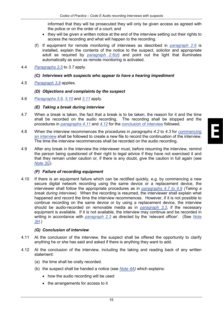<span id="page-17-0"></span>informed that they will be prosecuted they will only be given access as agreed with the police or on the order of a court; and

- • they will be given a written notice at the end of the interview setting out their rights to access the recording and what will happen to the recording.
- (f) If equipment for remote monitoring of interviews as described in *[paragraph 2.6](#page-10-0)* is adult as required by *[paragraph 2.6\(d\)](#page-10-0)* and point out the light that illuminates installed, explain the contents of the notice to the suspect, solicitor and appropriate automatically as soon as remote monitoring is activated.
- 4.4 *[Paragraphs 3.5](#page-12-0)* to *3.7* apply.

# *(C) Interviews with suspects who appear to have a hearing impediment*

4.5 *[Paragraph 3.8](#page-12-0)* applies.

#### *(D) Objections and complaints by the suspect*

 4.6 *[Paragraphs 3.9, 3.10](#page-12-0)* and *[3.11](#page-12-0)* apply.

#### *(E) Taking a break during interview*

- procedures in *paragraphs 4.11* and *4.12* for the conclusion of interview followed. 4.7 When a break is taken, the fact that a break is to be taken, the reason for it and the time shall be recorded on the audio recording. The recording shall be stopped and the
- 4.8 When the interview recommences the procedures in *paragraphs 4.2* to *4.3* for commencing an interview shall be followed to create a new file to record the continuation of the interview. The time the interview recommences shall be recorded on the audio recording.
- 4.9 After any break in the interview the interviewer must, before resuming the interview, remind that they remain under caution or, if there is any doubt, give the caution in full again (see the person being questioned of their right to legal advice if they have not exercised it and *[Note 3G](#page-15-0)*).

#### *(F) Failure of recording equipment*

 secure digital network recording using the same device or a replacement device, the happened and record the time the interview recommences. However, if it is not possible to continue recording on the same device or by using a replacement device, the interview equipment is available. If it is not available, the interview may continue and be recorded in writing in accordance with *[paragraph 2.3](#page-8-0)* as directed by the 'relevant officer'. (See *[Note](#page-15-0)  [3H](#page-15-0)*.) 4.10 If there is an equipment failure which can be rectified quickly, e.g. by commencing a new interviewer shall follow the appropriate procedures as in *paragraphs 4.7 to 4.9 (Taking a break during interview)*. When the recording is resumed, the interviewer shall explain what should be audio-recorded on removable media as in *[paragraph 3.3](#page-11-0)*, if the necessary

#### *(G) Conclusion of interview*

- anything he or she has said and asked if there is anything they want to add. 4.11 At the conclusion of the interview, the suspect shall be offered the opportunity to clarify
- 4.12 At the conclusion of the interview, including the taking and reading back of any written statement:
	- (a) the time shall be orally recorded.
	- (b) the suspect shall be handed a notice (see *[Note 4A](#page-18-0))* which explains:
		- how the audio recording will be used
		- the arrangements for access to it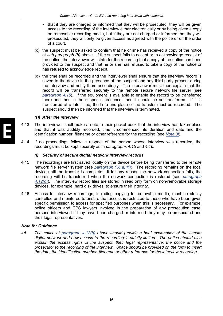- <span id="page-18-0"></span> on removable recording media, but if they are not charged or informed that they will • that if they are charged or informed that they will be prosecuted, they will be given access to the recording of the interview either electronically or by being given a copy prosecuted, they will only be given access as agreed with the police or on the order of a court.
- at *sub-paragraph (b)* above. If the suspect fails to accept or to acknowledge receipt of the notice, the interviewer will state for the recording that a copy of the notice has been provided to the suspect and that he or she has refused to take a copy of the notice or has refused to acknowledge receipt. (c) the suspect must be asked to confirm that he or she has received a copy of the notice
- the interview and notify them accordingly. The interviewer must then explain that the *paragraph 4.15*). If the equipment is available to enable the record to be transferred there and then in the suspect's presence, then it should be so transferred. If it is transferred at a later time, the time and place of the transfer must be recorded. The (d) the time shall be recorded and the interviewer shall ensure that the interview record is saved to the device in the presence of the suspect and any third party present during record will be transferred securely to the remote secure network file server (see suspect should then be informed that the interview is terminated.

# *(H) After the interview*

- 4.13 The interviewer shall make a note in their pocket book that the interview has taken place and that it was audibly recorded, time it commenced, its duration and date and the identification number, filename or other reference for the recording (see *[Note 3I](#page-16-0)*).
- 4.14 If no proceedings follow in respect of the person whose interview was recorded, the recordings must be kept securely as in *paragraphs 4.15* and *4.16*.

# *(I) Security of secure digital network interview records*

- network file server system (see *[paragraph 1.6\(a\)\(iii\)](#page-6-0)*). The recording remains on the local recording will be transferred when the network connection is restored (see *paragraph 4.12(d)*). The interview record files are stored in read only form on non-removable storage 4.15 The recordings are first saved locally on the device before being transferred to the remote device until the transfer is complete. If for any reason the network connection fails, the devices, for example, hard disk drives, to ensure their integrity.
- specific permission to access for specified purposes when this is necessary. For example, police officers and CPS lawyers involved in the preparation of any prosecution case, 4.16 Access to interview recordings, including copying to removable media, must be strictly controlled and monitored to ensure that access is restricted to those who have been given persons interviewed if they have been charged or informed they may be prosecuted and their legal representatives.

# *Note for Guidance*

 *4A The notice at [paragraph 4.12\(b\)](#page-17-0) above should provide a brief explanation of the secure digital network and how access to the recording is strictly limited. The notice should also explain the access rights of the suspect, their legal representative, the police and the prosecutor to the recording of the interview. Space should be provided on the form to insert the date, the identification number, filename or other reference for the interview recording.*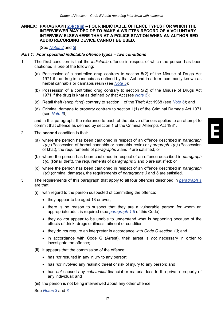#### <span id="page-19-0"></span> **ANNEX: PARAGRAPH [2.4\(c\)\(iii\)](#page-9-0) – FOUR INDICTABLE OFFENCE TYPES FOR WHICH THE INTERVIEW ELSEWHERE THAN AT A POLICE STATION WHEN AN AUTHORISED INTERVIEWER MAY DECIDE TO MAKE A WRITTEN RECORD OF A VOLUNTARY AUDIO RECORDING DEVICE CANNOT BE USED.**

[See *[Notes 2](#page-20-0)* and *[3](#page-21-0)*]

#### *Part 1: Four specified indictable offence types – two conditions*

- 1. The **first** condition is that the *indictable* offence in respect of which the person has been cautioned is *one* of the following:
	- (a) Possession of a controlled drug contrary to section 5(2) of the Misuse of Drugs Act 1971 if the drug is cannabis as defined by that Act and in a form commonly known as herbal cannabis or cannabis resin (see *[Note 5](#page-21-0)*);
	- 1971 if the drug is khat as defined by that Act (see *[Note 5](#page-21-0)*); (b) Possession of a controlled drug contrary to section 5(2) of the Misuse of Drugs Act
	- (c) Retail theft (shoplifting) contrary to section 1 of the Theft Act 1968 (see *[Note 6](#page-21-0))*; and
	- (d) Criminal damage to property contrary to section 1(1) of the Criminal Damage Act 1971 (see *[Note 6\)](#page-21-0),*

and in this paragraph, the reference to each of the above offences applies to an attempt to commit that offence as defined by section 1 of the Criminal Attempts Act 1981.

**E**

- 2. The **second** condition is that:
	- *1(a)* (Possession of herbal cannabis or cannabis resin) or *paragraph 1(b)* (Possession of khat), the requirements of *paragraphs 3* and *4* are satisfied; or (a) where the person has been cautioned in respect of an offence described in *paragraph*
	- *1(c)* (Retail theft), the requirements of *paragraphs 3* and *5* are satisfied; or (b) where the person has been cautioned in respect of an offence described in *paragraph*
	- *1(d)* (criminal damage), the requirements of *paragraphs 3* and *6* are satisfied. (c) where the person has been cautioned in respect of an offence described in *paragraph*
- 3. The requirements of this paragraph that apply to all four offences described in *paragraph 1*  are that:
	- (i) with regard to the person suspected of committing the offence:
		- they appear to be aged 18 or over;
		- • there is no reason to suspect that they are a vulnerable person for whom an appropriate adult is required (see *[paragraph 1.5](#page-5-0)* of this Code);
		- • they do *not* appear to be unable to understand what is happening because of the effects of drink, drugs or illness, ailment or condition;
		- they do *not* require an interpreter in accordance with *Code C section 13*; and
		- in accordance with Code G (Arrest), their arrest is *not* necessary in order to investigate the offence;
	- (ii) it appears that the commission of the offence:
		- has *not* resulted in any injury to any person;
		- has *not* involved any realistic threat or risk of injury to any person; and
		- • has *not* caused any *substantial* financial or material loss to the private property of any individual; and
	- (iii) the person is not being interviewed about any other offence.

See *[Notes 3](#page-21-0)* and *[8](#page-21-0)*.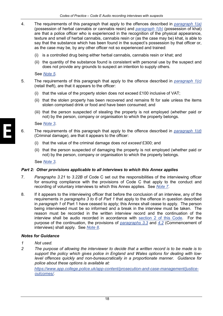- <span id="page-20-0"></span> (possession of herbal cannabis or cannabis resin) and *[paragraph 1\(b\)](#page-19-0)* (possession of khat) are that a police officer who is experienced in the recognition of the physical appearance, texture and smell of herbal cannabis, cannabis resin or (as the case may be) khat, is able to say that the substance which has been found in the suspect's possession by that officer or, 4. The requirements of this paragraph that apply to the offences described in *[paragraph 1\(a\)](#page-19-0)*  as the case may be, by any other officer not so experienced and trained:
	- (i) is a controlled drug being either herbal cannabis, cannabis resin or khat; and
	- (ii) the quantity of the substance found is consistent with personal use by the suspect and does not provide any grounds to suspect an intention to supply others.

See *[Note 5](#page-21-0).* 

- 5. The requirements of this paragraph that apply to the offence described in *[paragraph 1\(c\)](#page-19-0)*  (retail theft), are that it appears to the officer:
	- (i) that the value of the property stolen does not exceed  $£100$  inclusive of VAT:
	- (ii) that the stolen property has been recovered and remains fit for sale unless the items stolen comprised drink or food and have been consumed; and
	- (iii) that the person suspected of stealing the property is not employed (whether paid or not) by the person, company or organisation to which the property belongs.

See *[Note 3](#page-21-0)*.

**E**

- 6. The requirements of this paragraph that apply to the offence described in *[paragraph 1\(d\)](#page-19-0)*  (Criminal damage), are that it appears to the officer:
	- (i) that the value of the criminal damage does *not exceed* £300; and
	- (ii) that the person suspected of damaging the property is not employed (whether paid or not) by the person, company or organisation to which the property belongs.

See *[Note 3](#page-21-0).* 

#### *Part 2: Other provisions applicable to all interviews to which this Annex applies*

- 7. *Paragraphs 3.21* to *3.22B* of Code C set out the responsibilities of the interviewing officer recording of voluntary interviews to which this Annex applies. See *[Note 7](#page-21-0)*. for ensuring compliance with the provisions of Code C that apply to the conduct and
- $\mathsf{R}$  being interviewed must be so informed and a break in the interview must be taken. The interview shall be audio recorded in accordance with **section 2** of this Code. For the purpose of the continuation, the provisions of *[paragraphs 3.3](#page-11-0)* and *[4.2](#page-16-0)* (Commencement of interviews) shall apply. See *[Note 8.](#page-21-0)*  If it appears to the interviewing officer that before the conclusion of an interview, any of the requirements in *paragraphs 3 to 6* of *Part 1* that apply to the offence in question described in *paragraph 1* of Part 1 have ceased to apply; this Annex shall cease to apply. The person reason must be recorded in the written interview record and the continuation of the

## *Notes for Guidance*

- *1 Not used.*
- *level offences quickly and non-bureaucratically in a proportionate manner. Guidance for 2 The purpose of allowing the interviewer to decide that a written record is to be made is to support the policy which gives police in England and Wales options for dealing with lowpolice about these options is available at:*

*[https://www.app.college.police.uk/app-content/prosecution-and-case-management/justice](https://www.app.college.police.uk/app-content/prosecution-and-case-management/justice-outcomes/)outcomes/.*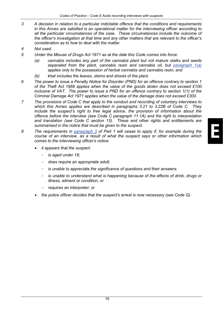- <span id="page-21-0"></span> *the officer's investigation at that time and any other matters that are relevant to the officer's consideration as to how to deal with the matter. 3 A decision in relation to a particular indictable offence that the conditions and requirements in this Annex are satisfied is an operational matter for the interviewing officer according to all the particular circumstances of the case. These circumstances include the outcome of*
- *4 Not used.*
- *5 Under the Misuse of Drugs Act 1971 as at the date this Code comes into force:* 
	- *(a) cannabis includes any part of the cannabis plant but not mature stalks and seeds separated from the plant, cannabis resin and cannabis oil, but [paragraph 1\(a\)](#page-19-0)  applies only to the possession of herbal cannabis and cannabis resin; and*
	- *(b) khat includes the leaves, stems and shoots of the plant.*
- *6 The power to issue a Penalty Notice for Disorder (PND) for an offence contrary to section 1*  Criminal Damage Act 1971 applies when the value of the damage does not exceed £300. *of the Theft Act 1968 applies when the value of the goods stolen does not exceed £100 inclusive of VAT. The power to issue a PND for an offence contrary to section 1(1) of the*
- *Criminal Damage Act 1971 applies when the value of the damage does not exceed £300. 7 The provisions of Code C that apply to the conduct and recording of voluntary interviews to which this Annex applies are described in paragraphs 3.21 to 3.22B of Code C. They include the suspect's right to free legal advice, the provision of information about the offence before the interview (see Code C paragraph 11.1A) and the right to interpretation and translation (see Code C section 13). These and other rights and entitlements are summarised in the notice that must be given to the suspect.*
- *course of an interview, as a result of what the suspect says or other information which 8 The requirements in [paragraph 3](#page-19-0) of Part 1 will cease to apply if, for example during the comes to the interviewing officer's notice:* 
	- *it appears that the suspect:* 
		- ~ *is aged under 18;*
		- ~ *does require an appropriate adult;*
		- ~ *is unable to appreciate the significance of questions and their answers;*
		- ~ *is unable to understand what is happening because of the effects of drink, drugs or illness, ailment or condition; or*
		- ~ *requires an interpreter; or*
	- *the police officer decides that the suspect's arrest is now necessary (see Code G).*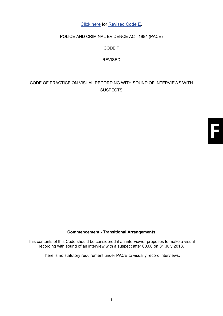[Click here](#page-3-0) for [Revised Code E](#page-3-0).

# <span id="page-22-0"></span>POLICE AND CRIMINAL EVIDENCE ACT 1984 (PACE)

CODE F

REVISED

# CODE OF PRACTICE ON VISUAL RECORDING WITH SOUND OF INTERVIEWS WITH **SUSPECTS**

# **Commencement - Transitional Arrangements**

This contents of this Code should be considered if an interviewer proposes to make a visual recording with sound of an interview with a suspect after 00.00 on 31 July 2018.

There is no statutory requirement under PACE to visually record interviews.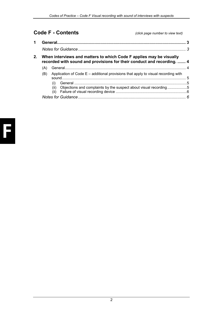# **Code F - Contents**

 $(click page number to view text)$ 

| 1  |     |                                                                                                                                               |  |  |  |  |
|----|-----|-----------------------------------------------------------------------------------------------------------------------------------------------|--|--|--|--|
|    |     |                                                                                                                                               |  |  |  |  |
| 2. |     | When interviews and matters to which Code F applies may be visually<br>recorded with sound and provisions for their conduct and recording.  4 |  |  |  |  |
|    | (A) |                                                                                                                                               |  |  |  |  |
|    | (B) | Application of Code $E -$ additional provisions that apply to visual recording with                                                           |  |  |  |  |
|    |     |                                                                                                                                               |  |  |  |  |
|    |     | Objections and complaints by the suspect about visual recording5<br>(ii)                                                                      |  |  |  |  |
|    |     | (ii)                                                                                                                                          |  |  |  |  |
|    |     |                                                                                                                                               |  |  |  |  |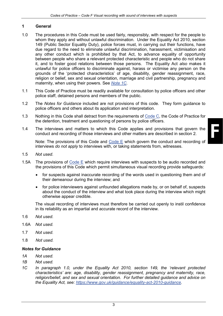#### <span id="page-24-0"></span>**1 General**

- 1.0 The procedures in this Code must be used fairly, responsibly, with respect for the people to whom they apply and without unlawful discrimination. Under the Equality Act 2010, section 149 (Public Sector Equality Duty), police forces must, in carrying out their functions, have any other conduct which is prohibited by that Act, to advance equality of opportunity between people who share a relevant protected characteristic and people who do not share it, and to foster good relations between those persons. The Equality Act *also* makes it due regard to the need to eliminate unlawful discrimination, harassment, victimisation and unlawful for police officers to discriminate against, harass or victimise any person on the grounds of the 'protected characteristics' of age, disability, gender reassignment, race, religion or belief, sex and sexual orientation, marriage and civil partnership, pregnancy and maternity, when using their powers. See *Note 1C*.
- 1.1 This Code of Practice must be readily available for consultation by police officers and other police staff, detained persons and members of the public.
- 1.2 The *Notes for Guidance* included are not provisions of this code. They form guidance to police officers and others about its application and interpretation.
- 1.3 Nothing in this Code shall detract from the requirements of **Code C**, the Code of Practice for the detention, treatment and questioning of persons by police officers.
- the detention, treatment and questioning of persons by police officers. 1.4 The interviews and matters to which this Code applies and provisions that govern the conduct and recording of those interviews and other matters are described in section 2.

Note: The provisions of this Code and [Code E](#page-3-0) which govern the conduct and recording of interviews *do not apply* to interviews with, or taking statements from, witnesses.

**F**

- 1.5 *Not used*.
- 1.5A The provisions of [Code E](#page-3-0) which require interviews with suspects to be audio recorded and the provisions of this Code which permit simultaneous visual recording provide safeguards:
	- for suspects against inaccurate recording of the words used in questioning them and of their demeanour during the interview; and
	- about the conduct of the interview and what took place during the interview which might • for police interviewers against unfounded allegations made by, or on behalf of, suspects otherwise appear credible.

 in its reliability as an impartial and accurate record of the interview. 1.6 *Not used*. The visual recording of interviews must therefore be carried out openly to instil confidence

- 
- 1.6A *Not used.*
- 1.7 *Not used*.
- 1.8 *Not used.*

#### *Notes for Guidance*

- *1A Not used.*
- *1B Not used.*
- *1C In paragraph 1.0, under the Equality Act 2010, section 149, the 'relevant protected characteristics' are: age, disability, gender reassignment, pregnancy and maternity, race, religion/belief, and sex and sexual orientation. For further detailed guidance and advice on the Equality Act, see: [https://www.gov.uk/guidance/equality-act-2010-guidance.](https://www.gov.uk/guidance/equality-act-2010-guidance)*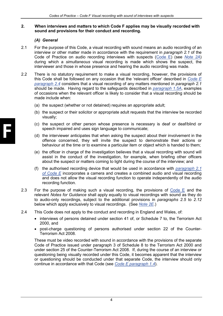#### <span id="page-25-0"></span> **2. When interviews and matters to which Code F applies may be visually recorded with sound and provisions for their conduct and recording.**

# *(A) General*

- Code of Practice on audio recording interviews with suspects [\(Code E\)](#page-3-0) (see *[Note 2A](#page-27-0)*) interviewer and those in whose presence and hearing the audio recording was made. 2.1 For the purpose of this Code, a visual recording with sound means an audio recording of an interview or other matter made in accordance with the requirement in *paragraph 2.1* of the during which a *simultaneous* visual recording is made which shows the suspect, the
- should be made. Having regard to the safeguards described in *[paragraph 1.5A](#page-24-0)*, examples 2.2 There is no statutory requirement to make a visual recording, however, the provisions of [this Code shall be followed on any occasion that the 'relevant officer' described in](#page-9-0) *Code E paragraph 2.4* considers that a visual recording of any matters mentioned in *paragraph 2.1*  of occasions when the relevant officer is likely to consider that a visual recording should be made include when:
	- (a) the suspect (whether or not detained) requires an appropriate adult;
	- (b) the suspect or their solicitor or appropriate adult requests that the interview be recorded visually;
	- (c) the suspect or other person whose presence is necessary is deaf or deaf/blind or speech impaired and uses sign language to communicate;
	- offence concerned, they will invite the suspect to demonstrate their actions or (d) the interviewer anticipates that when asking the suspect about their involvement in the behaviour at the time or to examine a particular item or object which is handed to them;
	- (e) the officer in charge of the investigation believes that a visual recording with sound will assist in the conduct of the investigation, for example, when briefing other officers about the suspect or matters coming to light during the course of the interview; and
	- (f) the authorised recording device that would be used in accordance with *paragraph 2.1 of Code E* [incorporates a camera and creates a combined audio and visual recording](#page-8-0)  and does not allow the visual recording function to operate independently of the audio recording function.
- to audio-only recordings, subject to the additional provisions in *paragraphs 2.5* to *2.12*  below which apply exclusively to visual recordings. (See *[Note 2E](#page-27-0)*.) 2.3 For the purpose of making such a visual recording, the provisions of [Code E](#page-3-0) and the relevant *Notes for Guidance* shall apply equally to visual recordings with sound as they do
- 2.4 This Code does not apply to the conduct and recording in England and Wales, of:
	- • interviews of persons detained under section 41 of, or Schedule 7 to, the Terrorism Act 2000, and
	- post-charge questioning of persons authorised under section 22 of the Counter-Terrorism Act 2008.

 Code of Practice issued under paragraph 3 of Schedule 8 to the Terrorism Act 2000 and under section 25 of the Counter-Terrorism Act 2008. If, during the course of an interview or questioning being visually recorded under this Code, it becomes apparent that the interview These must be video recorded with sound in accordance with the provisions of the separate or questioning should be conducted under that separate Code, the interview should only continue in accordance with that Code (see *[Code E paragraph 1.4](#page-5-0)*).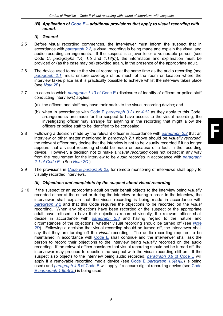#### <span id="page-26-0"></span> *(B) Application of [Code E](#page-3-0) – additional provisions that apply to visual recording with sound.*

# *(i) General*

- 2.5 Before visual recording commences, the interviewer must inform the suspect that in audio recording arrangements. If the suspect is a juvenile or a vulnerable person (see accordance with *[paragraph 2.2](#page-25-0),* a visual recording is being made and explain the visual and Code C, *paragraphs 1.4, 1.5* and *1.13(d)*), the information and explanation must be provided or (as the case may be) provided again, in the presence of the appropriate adult.
- 2.6 The device used to make the visual recording at the same time as the audio recording (see *[paragraph 2.1](#page-25-0)*) must ensure coverage of as much of the room or location where the (see Note 2B). interview takes place as it is practically possible to achieve whilst the interview takes place
- (see *Note 2B*). 2.7 In cases to which *[paragraph 1.13](#page-7-0)* of Code E (disclosure of identity of officers or police staff conducting interviews) applies:
	- (a) the officers and staff may have their backs to the visual recording device; and
	- (b) when in accordance with Code E *[paragraph 3.21](#page-14-0)* or *[4.12](#page-17-0)* as they apply to this Code, arrangements are made for the suspect to have access to the visual recording, the investigating officer may arrange for anything in the recording that might allow the officers or police staff to be identified to be concealed.
- the relevant officer may decide that the interview is not to be visually recorded if it no longer device. However, a decision not to make a *visual recording* does not detract in any way *[2.1 of Code E](#page-8-0)*. (See *[Note 2C](#page-27-0)*.) 2.8 Following a decision made by the relevant officer in accordance with *[paragraph 2.2](#page-25-0)* that an interview or other matter mentioned in *paragraph 2.1* above should be *visually recorded*, appears that a visual recording should be made or because of a fault in the recording from the requirement for the interview to be *audio recorded* in accordance with *[paragraph](#page-8-0)*
- visually recorded interviews. 2.9 The provisions in *[Code E paragraph 2.6](#page-10-0)* for remote monitoring of interviews shall apply to

#### *(ii) Objections and complaints by the suspect about visual recording*

 recording. When any objections have been recorded or the suspect or the appropriate decide in accordance with *paragraph 2.8* and having regard to the nature and *2D*[\). Following a decision that visual recording should be turned off, the interviewer shall](#page-27-0)  say that they are turning off the *visual* recording. The audio recording required to be person to record their objections to the interview being *visually* recorded on the audio recording. If the relevant officer considers that visual recording should not be turned off, the interviewer may proceed to question the suspect with the visual recording still on. If the apply if a removable recording media device (see Code E *[paragraph 1.6\(a\)\(ii\)](#page-6-0)*) is being used) and *[paragraph 4.6](#page-17-0)* of Code E will apply if a secure digital recording device (see [Code](#page-6-0) E *[paragraph 1.6\(a\)\(iii\)](#page-6-0)*) is being used. 2.10 If the suspect or an appropriate adult on their behalf objects to the interview being *visually*  recorded either at the outset or during the interview or during a break in the interview, the interviewer shall explain that the visual recording is being made in accordance with *[paragraph 2.2](#page-25-0)* and that this Code requires the objections to be recorded on the *visual*  adult have refused to have their objections recorded visually, the relevant officer shall circumstances of the objections, whether visual recording should be turned off (see *Note*  maintained in accordance with [Code E](#page-3-0) shall continue and the interviewer shall ask the suspect also objects to the interview being audio recorded, *[paragraph 3.9](#page-12-0)* of Code E will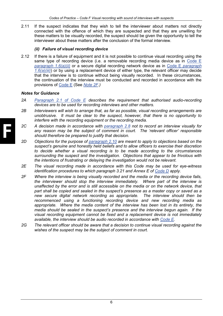<span id="page-27-0"></span> connected with the offence of which they are suspected and that they are unwilling for 2.11 If the suspect indicates that they wish to tell the interviewer about matters not directly these matters to be visually recorded, the suspect should be given the opportunity to tell the interviewer about these matters after the conclusion of the formal interview.

#### *(ii) Failure of visual recording device*

 2.12 If there is a failure of equipment and it is not possible to continue visual recording using the  *[paragraph 1.6\(a\)\(ii\)](#page-6-0)* or a secure digital recording network device as in Code E *[paragraph](#page-6-0)*  the continuation of the interview must be conducted and recorded in accordance with the same type of recording device (i.e. a removable recording media device as in [Code E](#page-6-0) *[1.6\(a\)\(iii\)](#page-6-0)*) or by using a replacement device of either type, the relevant officer may decide that the interview is to continue without being visually recorded. In these circumstances, provisions of [Code E](#page-3-0) (See *Note 2F.)* 

## *Notes for Guidance*

- *2A [Paragraph 2.1 of Code E](#page-8-0) describes the requirement that authorised audio-recording devices are to be used for recording interviews and other matters.*
- *2B Interviewers will wish to arrange that, as far as possible, visual recording arrangements are unobtrusive. It must be clear to the suspect, however, that there is no opportunity to interfere with the recording equipment or the recording media.*
- *2C A decision made in accordance with [paragraph 2.8](#page-26-0) not to record an interview visually for any reason may be the subject of comment in court. The 'relevant officer' responsible should therefore be prepared to justify that decision.*
- *2D Objections for the purpose of [paragraph 2.10](#page-26-0) are meant to apply to objections based on the suspect's genuine and honestly held beliefs and to allow officers to exercise their discretion surrounding the suspect and the investigation. Objections that appear to be frivolous with to decide whether a visual recording is to be made according to the circumstances the intentions of frustrating or delaying the investigation would not be relevant.*
- *identification procedures to which paragraph 3.21 and Annex E of [Code D](https://www.gov.uk/government/publications/pace-code-d-2017) apply. 2E The visual recording made in accordance with this Code may be used for eye-witness*
- *the interviewer should stop the interview immediately. Where part of the interview is unaffected by the error and is still accessible on the media or on the network device, that new secure digital network recording as appropriate. The interview should then be media should be sealed in the suspect's presence and the interview begun again. If the 2F Where the interview is being visually recorded and the media or the recording device fails, part shall be copied and sealed in the suspect's presence as a master copy or saved as a recommenced using a functioning recording device and new recording media as appropriate. Where the media content of the interview has been lost in its entirety, the visual recording equipment cannot be fixed and a replacement device is not immediately available, the interview should be audio recorded in accordance with [Code E](#page-3-0).*
- *2G The relevant officer should be aware that a decision to continue visual recording against the wishes of the suspect may be the subject of comment in court.*